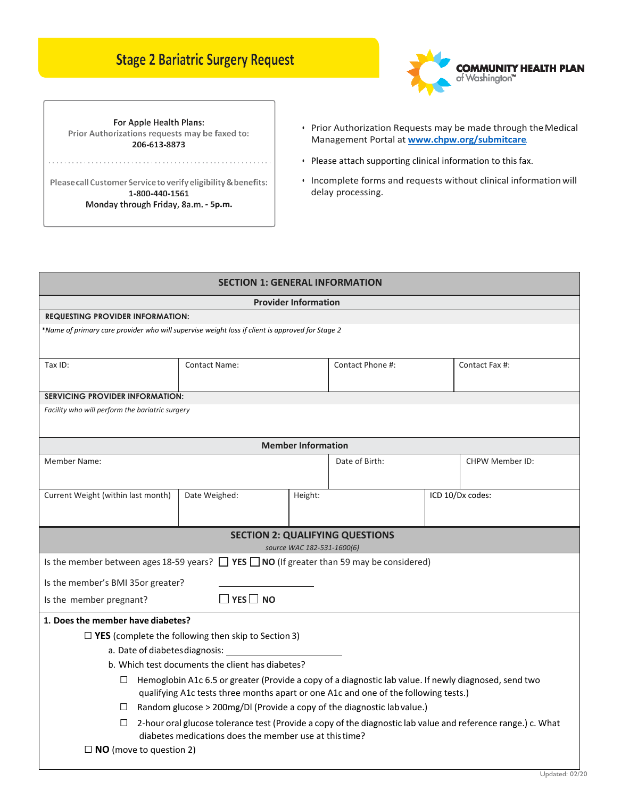## **Stage 2 Bariatric Surgery Request**



For Apple Health Plans: Prior Authorizations requests may be faxed to: 206-613-8873

Please call Customer Service to verify eligibility & benefits: 1-800-440-1561 Monday through Friday, 8a.m. - 5p.m.

- Prior Authorization Requests may be made through the Medical Management Portal at **[www.chpw.org/submitcare](http://www.chpw.org/submitcare)**.
- Please attach supporting clinical information to this fax.
- Incomplete forms and requests without clinical information will delay processing.

| <b>SECTION 1: GENERAL INFORMATION</b>                                                                                                                                                                  |                      |  |                  |                  |                 |  |  |  |  |
|--------------------------------------------------------------------------------------------------------------------------------------------------------------------------------------------------------|----------------------|--|------------------|------------------|-----------------|--|--|--|--|
| <b>Provider Information</b>                                                                                                                                                                            |                      |  |                  |                  |                 |  |  |  |  |
| <b>REQUESTING PROVIDER INFORMATION:</b>                                                                                                                                                                |                      |  |                  |                  |                 |  |  |  |  |
| *Name of primary care provider who will supervise weight loss if client is approved for Stage 2                                                                                                        |                      |  |                  |                  |                 |  |  |  |  |
|                                                                                                                                                                                                        |                      |  |                  |                  |                 |  |  |  |  |
| Tax ID:                                                                                                                                                                                                | <b>Contact Name:</b> |  | Contact Phone #: |                  | Contact Fax #:  |  |  |  |  |
|                                                                                                                                                                                                        |                      |  |                  |                  |                 |  |  |  |  |
| <b>SERVICING PROVIDER INFORMATION:</b>                                                                                                                                                                 |                      |  |                  |                  |                 |  |  |  |  |
| Facility who will perform the bariatric surgery                                                                                                                                                        |                      |  |                  |                  |                 |  |  |  |  |
|                                                                                                                                                                                                        |                      |  |                  |                  |                 |  |  |  |  |
| <b>Member Information</b>                                                                                                                                                                              |                      |  |                  |                  |                 |  |  |  |  |
| Member Name:                                                                                                                                                                                           |                      |  | Date of Birth:   |                  | CHPW Member ID: |  |  |  |  |
|                                                                                                                                                                                                        |                      |  |                  |                  |                 |  |  |  |  |
| Date Weighed:<br>Current Weight (within last month)<br>Height:                                                                                                                                         |                      |  |                  | ICD 10/Dx codes: |                 |  |  |  |  |
|                                                                                                                                                                                                        |                      |  |                  |                  |                 |  |  |  |  |
|                                                                                                                                                                                                        |                      |  |                  |                  |                 |  |  |  |  |
| <b>SECTION 2: QUALIFYING QUESTIONS</b><br>source WAC 182-531-1600(6)                                                                                                                                   |                      |  |                  |                  |                 |  |  |  |  |
| Is the member between ages 18-59 years? $\Box$ YES $\Box$ NO (If greater than 59 may be considered)                                                                                                    |                      |  |                  |                  |                 |  |  |  |  |
| Is the member's BMI 35or greater?                                                                                                                                                                      |                      |  |                  |                  |                 |  |  |  |  |
| $\Box$ YES $\Box$ NO<br>Is the member pregnant?                                                                                                                                                        |                      |  |                  |                  |                 |  |  |  |  |
|                                                                                                                                                                                                        |                      |  |                  |                  |                 |  |  |  |  |
| 1. Does the member have diabetes?                                                                                                                                                                      |                      |  |                  |                  |                 |  |  |  |  |
| $\Box$ YES (complete the following then skip to Section 3)<br>a. Date of diabetes diagnosis:                                                                                                           |                      |  |                  |                  |                 |  |  |  |  |
|                                                                                                                                                                                                        |                      |  |                  |                  |                 |  |  |  |  |
| b. Which test documents the client has diabetes?                                                                                                                                                       |                      |  |                  |                  |                 |  |  |  |  |
| Hemoglobin A1c 6.5 or greater (Provide a copy of a diagnostic lab value. If newly diagnosed, send two<br>$\Box$<br>qualifying A1c tests three months apart or one A1c and one of the following tests.) |                      |  |                  |                  |                 |  |  |  |  |
| $\Box$ Random glucose > 200mg/DI (Provide a copy of the diagnostic lab value.)                                                                                                                         |                      |  |                  |                  |                 |  |  |  |  |
| $\Box$ 2-hour oral glucose tolerance test (Provide a copy of the diagnostic lab value and reference range.) c. What                                                                                    |                      |  |                  |                  |                 |  |  |  |  |
| diabetes medications does the member use at this time?                                                                                                                                                 |                      |  |                  |                  |                 |  |  |  |  |
| $\Box$ NO (move to question 2)                                                                                                                                                                         |                      |  |                  |                  |                 |  |  |  |  |